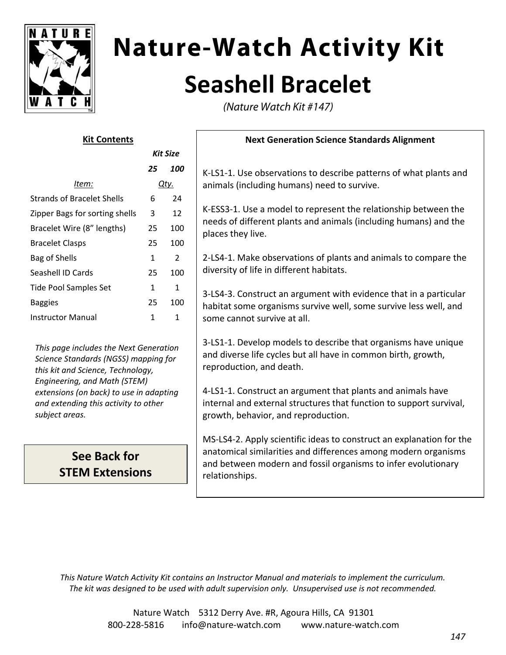

# **Nature-Watch Activity Kit Seashell Bracelet**

(Nature Watch Kit #147)

| <b>Kit Contents</b>            |          |     |
|--------------------------------|----------|-----|
|                                | Kit Size |     |
|                                | 25       | 100 |
| Item:                          | Qty.     |     |
| Strands of Bracelet Shells     | 6        | 24  |
| Zipper Bags for sorting shells | 3        | 12  |
| Bracelet Wire (8" lengths)     | 25       | 100 |
| <b>Bracelet Clasps</b>         | 25       | 100 |
| Bag of Shells                  | 1        | 2   |
| Seashell ID Cards              | 25       | 100 |
| Tide Pool Samples Set          | 1        | 1   |
| <b>Baggies</b>                 | 25       | 100 |
| <b>Instructor Manual</b>       | 1        | 1   |

*This page includes the Next Generation Science Standards (NGSS) mapping for this kit and Science, Technology, Engineering, and Math (STEM) extensions (on back) to use in adapting and extending this activity to other subject areas.*

> **See Back for STEM Extensions**

#### **Next Generation Science Standards Alignment**

K‐LS1‐1. Use observations to describe patterns of what plants and animals (including humans) need to survive.

K‐ESS3‐1. Use a model to represent the relationship between the needs of different plants and animals (including humans) and the places they live.

2‐LS4‐1. Make observations of plants and animals to compare the diversity of life in different habitats.

3‐LS4‐3. Construct an argument with evidence that in a particular habitat some organisms survive well, some survive less well, and some cannot survive at all.

3‐LS1‐1. Develop models to describe that organisms have unique and diverse life cycles but all have in common birth, growth, reproduction, and death.

4‐LS1‐1. Construct an argument that plants and animals have internal and external structures that function to support survival, growth, behavior, and reproduction.

MS‐LS4‐2. Apply scientific ideas to construct an explanation for the anatomical similarities and differences among modern organisms and between modern and fossil organisms to infer evolutionary relationships.

*This Nature Watch Activity Kit contains an Instructor Manual and materials to implement the curriculum. The kit was designed to be used with adult supervision only. Unsupervised use is not recommended.*